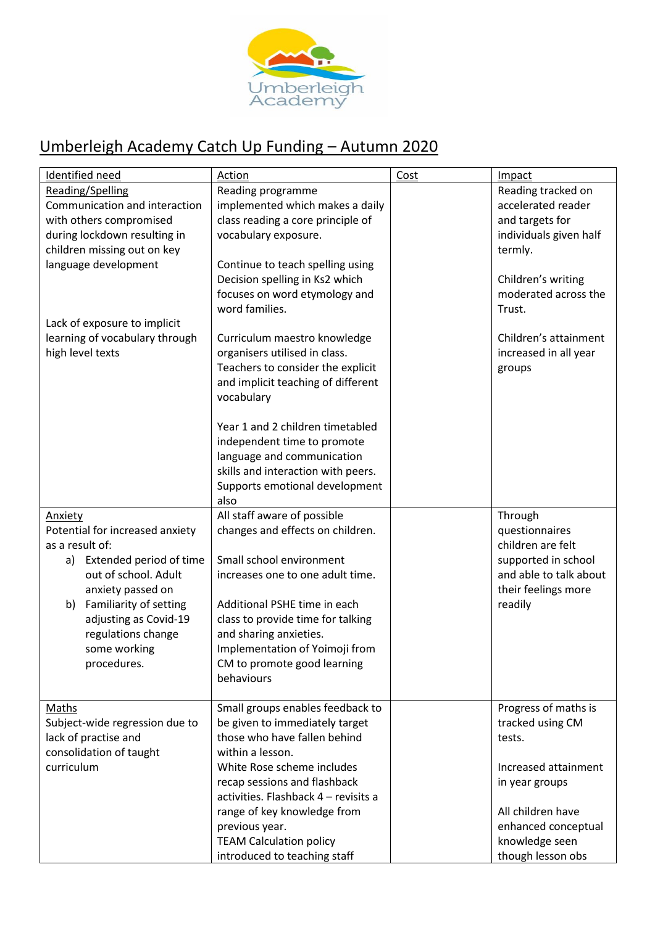

## Umberleigh Academy Catch Up Funding – Autumn 2020

| Identified need                 | Action                               | Cost | Impact                 |
|---------------------------------|--------------------------------------|------|------------------------|
| Reading/Spelling                | Reading programme                    |      | Reading tracked on     |
| Communication and interaction   | implemented which makes a daily      |      | accelerated reader     |
| with others compromised         | class reading a core principle of    |      | and targets for        |
| during lockdown resulting in    | vocabulary exposure.                 |      | individuals given half |
| children missing out on key     |                                      |      | termly.                |
| language development            | Continue to teach spelling using     |      |                        |
|                                 | Decision spelling in Ks2 which       |      | Children's writing     |
|                                 | focuses on word etymology and        |      | moderated across the   |
|                                 | word families.                       |      | Trust.                 |
| Lack of exposure to implicit    |                                      |      |                        |
| learning of vocabulary through  | Curriculum maestro knowledge         |      | Children's attainment  |
| high level texts                | organisers utilised in class.        |      | increased in all year  |
|                                 | Teachers to consider the explicit    |      | groups                 |
|                                 | and implicit teaching of different   |      |                        |
|                                 | vocabulary                           |      |                        |
|                                 | Year 1 and 2 children timetabled     |      |                        |
|                                 | independent time to promote          |      |                        |
|                                 | language and communication           |      |                        |
|                                 | skills and interaction with peers.   |      |                        |
|                                 | Supports emotional development       |      |                        |
|                                 | also                                 |      |                        |
| <b>Anxiety</b>                  | All staff aware of possible          |      | Through                |
| Potential for increased anxiety | changes and effects on children.     |      | questionnaires         |
| as a result of:                 |                                      |      | children are felt      |
| a) Extended period of time      | Small school environment             |      | supported in school    |
| out of school. Adult            | increases one to one adult time.     |      | and able to talk about |
| anxiety passed on               |                                      |      | their feelings more    |
| Familiarity of setting<br>b)    | Additional PSHE time in each         |      | readily                |
| adjusting as Covid-19           | class to provide time for talking    |      |                        |
| regulations change              | and sharing anxieties.               |      |                        |
| some working                    | Implementation of Yoimoji from       |      |                        |
| procedures.                     | CM to promote good learning          |      |                        |
|                                 | behaviours                           |      |                        |
|                                 |                                      |      |                        |
| Maths                           | Small groups enables feedback to     |      | Progress of maths is   |
| Subject-wide regression due to  | be given to immediately target       |      | tracked using CM       |
| lack of practise and            | those who have fallen behind         |      | tests.                 |
| consolidation of taught         | within a lesson.                     |      |                        |
| curriculum                      | White Rose scheme includes           |      | Increased attainment   |
|                                 | recap sessions and flashback         |      | in year groups         |
|                                 | activities. Flashback 4 - revisits a |      |                        |
|                                 | range of key knowledge from          |      | All children have      |
|                                 | previous year.                       |      | enhanced conceptual    |
|                                 | <b>TEAM Calculation policy</b>       |      | knowledge seen         |
|                                 | introduced to teaching staff         |      | though lesson obs      |